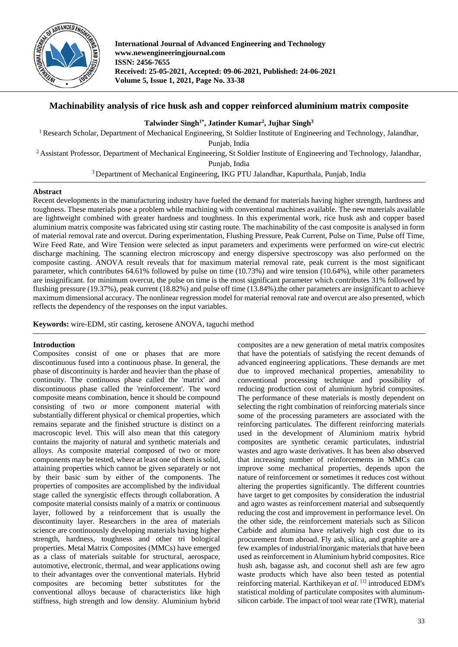

**International Journal of Advanced Engineering and Technology www.newengineeringjournal.com ISSN: 2456-7655 Received: 25-05-2021, Accepted: 09-06-2021, Published: 24-06-2021 Volume 5, Issue 1, 2021, Page No. 33-38**

# **Machinability analysis of rice husk ash and copper reinforced aluminium matrix composite**

**Talwinder Singh1\* , Jatinder Kumar2 , Jujhar Singh3**

<sup>1</sup> Research Scholar, Department of Mechanical Engineering, St Soldier Institute of Engineering and Technology, Jalandhar, Punjab, India <sup>2</sup> Assistant Professor, Department of Mechanical Engineering, St Soldier Institute of Engineering and Technology, Jalandhar, Punjab, India

<sup>3</sup> Department of Mechanical Engineering, IKG PTU Jalandhar, Kapurthala, Punjab, India

# **Abstract**

Recent developments in the manufacturing industry have fueled the demand for materials having higher strength, hardness and toughness. These materials pose a problem while machining with conventional machines available. The new materials available are lightweight combined with greater hardness and toughness. In this experimental work, rice husk ash and copper based aluminium matrix composite was fabricated using stir casting route. The machinability of the cast composite is analysed in form of material removal rate and overcut. During experimentation, Flushing Pressure, Peak Current, Pulse on Time, Pulse off Time, Wire Feed Rate, and Wire Tension were selected as input parameters and experiments were performed on wire-cut electric discharge machining. The scanning electron microscopy and energy dispersive spectroscopy was also performed on the composite casting. ANOVA result reveals that for maximum material removal rate, peak current is the most significant parameter, which contributes 64.61% followed by pulse on time (10.73%) and wire tension (10.64%), while other parameters are insignificant. for minimum overcut, the pulse on time is the most significant parameter which contributes 31% followed by flushing pressure (19.37%), peak current (18.82%) and pulse off time (13.84%).the other parameters are insignificant to achieve maximum dimensional accuracy. The nonlinear regression model for material removal rate and overcut are also presented, which reflects the dependency of the responses on the input variables.

**Keywords:** wire-EDM, stir casting, kerosene ANOVA, taguchi method

### **Introduction**

Composites consist of one or phases that are more discontinuous fused into a continuous phase. In general, the phase of discontinuity is harder and heavier than the phase of continuity. The continuous phase called the 'matrix' and discontinuous phase called the 'reinforcement'. The word composite means combination, hence it should be compound consisting of two or more component material with substantially different physical or chemical properties, which remains separate and the finished structure is distinct on a macroscopic level. This will also mean that this category contains the majority of natural and synthetic materials and alloys. As composite material composed of two or more components may be tested, where at least one of them is solid, attaining properties which cannot be given separately or not by their basic sum by either of the components. The properties of composites are accomplished by the individual stage called the synergistic effects through collaboration. A composite material consists mainly of a matrix or continuous layer, followed by a reinforcement that is usually the discontinuity layer. Researchers in the area of materials science are continuously developing materials having higher strength, hardness, toughness and other tri bological properties. Metal Matrix Composites (MMCs) have emerged as a class of materials suitable for structural, aerospace, automotive, electronic, thermal, and wear applications owing to their advantages over the conventional materials. Hybrid composites are becoming better substitutes for the conventional alloys because of characteristics like high stiffness, high strength and low density. Aluminium hybrid composites are a new generation of metal matrix composites that have the potentials of satisfying the recent demands of advanced engineering applications. These demands are met due to improved mechanical properties, amenability to conventional processing technique and possibility of reducing production cost of aluminium hybrid composites. The performance of these materials is mostly dependent on selecting the right combination of reinforcing materials since some of the processing parameters are associated with the reinforcing particulates. The different reinforcing materials used in the development of Aluminium matrix hybrid composites are synthetic ceramic particulates, industrial wastes and agro waste derivatives. It has been also observed that increasing number of reinforcements in MMCs can improve some mechanical properties, depends upon the nature of reinforcement or sometimes it reduces cost without altering the properties significantly. The different countries have target to get composites by consideration the industrial and agro wastes as reinforcement material and subsequently reducing the cost and improvement in performance level. On the other side, the reinforcement materials such as Silicon Carbide and alumina have relatively high cost due to its procurement from abroad. Fly ash, silica, and graphite are a few examples of industrial/inorganic materials that have been used as reinforcement in Aluminium hybrid composites. Rice hush ash, bagasse ash, and coconut shell ash are few agro waste products which have also been tested as potential reinforcing material. Karthikeyan *et al*. [1] introduced EDM's statistical molding of particulate composites with aluminumsilicon carbide. The impact of tool wear rate (TWR), material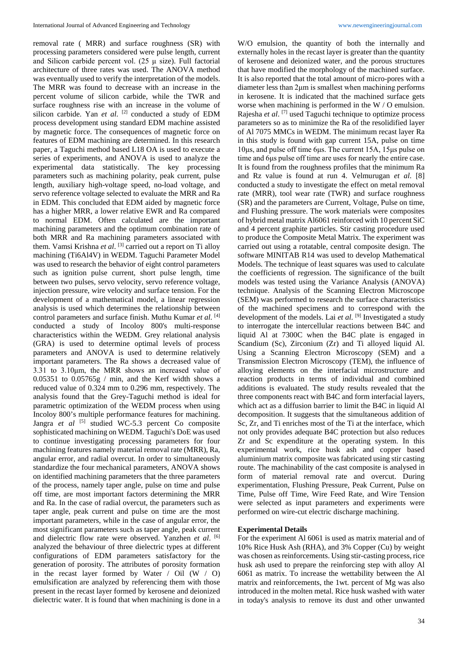removal rate ( MRR) and surface roughness (SR) with processing parameters considered were pulse length, current and Silicon carbide percent vol. (25  $\mu$  size). Full factorial architecture of three rates was used. The ANOVA method was eventually used to verify the interpretation of the models. The MRR was found to decrease with an increase in the percent volume of silicon carbide, while the TWR and surface roughness rise with an increase in the volume of silicon carbide. Yan *et al.* <sup>[2]</sup> conducted a study of EDM process development using standard EDM machine assisted by magnetic force. The consequences of magnetic force on features of EDM machining are determined. In this research paper, a Taguchi method based L18 OA is used to execute a series of experiments, and ANOVA is used to analyze the experimental data statistically. The key processing parameters such as machining polarity, peak current, pulse length, auxiliary high-voltage speed, no-load voltage, and servo reference voltage selected to evaluate the MRR and Ra in EDM. This concluded that EDM aided by magnetic force has a higher MRR, a lower relative EWR and Ra compared to normal EDM. Often calculated are the important machining parameters and the optimum combination rate of both MRR and Ra machining parameters associated with them. Vamsi Krishna *et al*. [3] carried out a report on Ti alloy machining (Ti6Al4V) in WEDM. Taguchi Parameter Model was used to research the behavior of eight control parameters such as ignition pulse current, short pulse length, time between two pulses, servo velocity, servo reference voltage, injection pressure, wire velocity and surface tension. For the development of a mathematical model, a linear regression analysis is used which determines the relationship between control parameters and surface finish. Muthu Kumar *et al*. [4] conducted a study of Incoloy 800's multi-response characteristics within the WEDM. Grey relational analysis (GRA) is used to determine optimal levels of process parameters and ANOVA is used to determine relatively important parameters. The Ra shows a decreased value of 3.31 to 3.10μm, the MRR shows an increased value of  $0.05351$  to  $0.05765g / min$ , and the Kerf width shows a reduced value of 0.324 mm to 0.296 mm, respectively. The analysis found that the Grey-Taguchi method is ideal for parametric optimization of the WEDM process when using Incoloy 800's multiple performance features for machining. Jangra et al <a>[5]</a> studied WC-5.3 percent Co composite sophisticated machining on WEDM. Taguchi's DoE was used to continue investigating processing parameters for four machining features namely material removal rate (MRR), Ra, angular error, and radial overcut. In order to simultaneously standardize the four mechanical parameters, ANOVA shows on identified machining parameters that the three parameters of the process, namely taper angle, pulse on time and pulse off time, are most important factors determining the MRR and Ra. In the case of radial overcut, the parameters such as taper angle, peak current and pulse on time are the most important parameters, while in the case of angular error, the most significant parameters such as taper angle, peak current and dielectric flow rate were observed. Yanzhen *et al.* <sup>[6]</sup> analyzed the behaviour of three dielectric types at different configurations of EDM parameters satisfactory for the generation of porosity. The attributes of porosity formation in the recast layer formed by Water  $/$  Oil (W  $/$  O) emulsification are analyzed by referencing them with those present in the recast layer formed by kerosene and deionized dielectric water. It is found that when machining is done in a

W/O emulsion, the quantity of both the internally and externally holes in the recast layer is greater than the quantity of kerosene and deionized water, and the porous structures that have modified the morphology of the machined surface. It is also reported that the total amount of micro-pores with a diameter less than 2μm is smallest when machining performs in kerosene. It is indicated that the machined surface gets worse when machining is performed in the W / O emulsion. Rajesha *et al*. [7] used Taguchi technique to optimize process parameters so as to minimize the Ra of the resolidified layer of Al 7075 MMCs in WEDM. The minimum recast layer Ra in this study is found with gap current 15A, pulse on time 10μs, and pulse off time 6μs. The current 15A, 15μs pulse on time and 6μs pulse off time are uses for nearly the entire case. It is found from the roughness profiles that the minimum Ra and Rz value is found at run 4. Velmurugan *et al*. [8] conducted a study to investigate the effect on metal removal rate (MRR), tool wear rate (TWR) and surface roughness (SR) and the parameters are Current, Voltage, Pulse on time, and Flushing pressure. The work materials were composites of hybrid metal matrix Al6061 reinforced with 10 percent SiC and 4 percent graphite particles. Stir casting procedure used to produce the Composite Metal Matrix. The experiment was carried out using a rotatable, central composite design. The software MINITAB R14 was used to develop Mathematical Models. The technique of least squares was used to calculate the coefficients of regression. The significance of the built models was tested using the Variance Analysis (ANOVA) technique. Analysis of the Scanning Electron Microscope (SEM) was performed to research the surface characteristics of the machined specimens and to correspond with the development of the models. Lai *et al*. [9] Investigated a study to interrogate the intercellular reactions between B4C and liquid Al at 7300C when the B4C plate is engaged in Scandium (Sc), Zirconium (Zr) and Ti alloyed liquid Al. Using a Scanning Electron Microscopy (SEM) and a Transmission Electron Microscopy (TEM), the influence of alloying elements on the interfacial microstructure and reaction products in terms of individual and combined additions is evaluated. The study results revealed that the three components react with B4C and form interfacial layers, which act as a diffusion barrier to limit the B4C in liquid Al decomposition. It suggests that the simultaneous addition of Sc, Zr, and Ti enriches most of the Ti at the interface, which not only provides adequate B4C protection but also reduces Zr and Sc expenditure at the operating system. In this experimental work, rice husk ash and copper based aluminium matrix composite was fabricated using stir casting route. The machinability of the cast composite is analysed in form of material removal rate and overcut. During experimentation, Flushing Pressure, Peak Current, Pulse on Time, Pulse off Time, Wire Feed Rate, and Wire Tension were selected as input parameters and experiments were performed on wire-cut electric discharge machining.

#### **Experimental Details**

For the experiment Al 6061 is used as matrix material and of 10% Rice Husk Ash (RHA), and 3% Copper (Cu) by weight was chosen as reinforcements. Using stir-casting process, rice husk ash used to prepare the reinforcing step with alloy Al 6061 as matrix. To increase the wettability between the Al matrix and reinforcements, the 1wt. percent of Mg was also introduced in the molten metal. Rice husk washed with water in today's analysis to remove its dust and other unwanted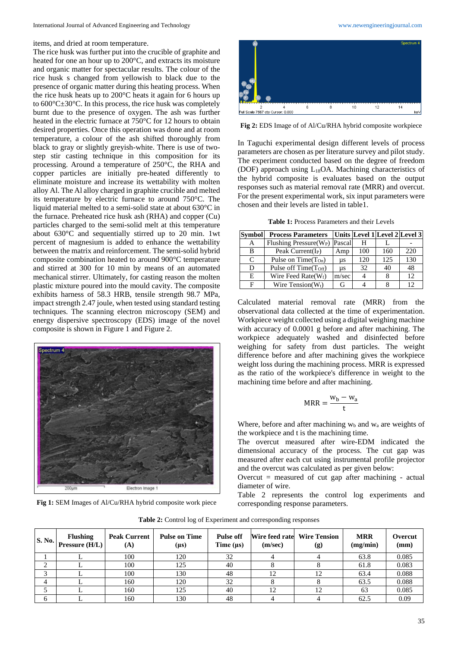items, and dried at room temperature.

The rice husk was further put into the crucible of graphite and heated for one an hour up to 200°C, and extracts its moisture and organic matter for spectacular results. The colour of the rice husk s changed from yellowish to black due to the presence of organic matter during this heating process. When the rice husk heats up to 200°C heats it again for 6 hours up to 600°C±30°C. In this process, the rice husk was completely burnt due to the presence of oxygen. The ash was further heated in the electric furnace at 750°C for 12 hours to obtain desired properties. Once this operation was done and at room temperature, a colour of the ash shifted thoroughly from black to gray or slightly greyish-white. There is use of twostep stir casting technique in this composition for its processing. Around a temperature of 250°C, the RHA and copper particles are initially pre-heated differently to eliminate moisture and increase its wettability with molten alloy Al. The Al alloy charged in graphite crucible and melted its temperature by electric furnace to around 750°C. The liquid material melted to a semi-solid state at about 630°C in the furnace. Preheated rice husk ash (RHA) and copper (Cu) particles charged to the semi-solid melt at this temperature about 630°C and sequentially stirred up to 20 min. 1wt percent of magnesium is added to enhance the wettability between the matrix and reinforcement. The semi-solid hybrid composite combination heated to around 900°C temperature and stirred at 300 for 10 min by means of an automated mechanical stirrer. Ultimately, for casting reason the molten plastic mixture poured into the mould cavity. The composite exhibits harness of 58.3 HRB, tensile strength 98.7 MPa, impact strength 2.47 joule, when tested using standard testing techniques. The scanning electron microscopy (SEM) and energy dispersive spectroscopy (EDS) image of the novel composite is shown in Figure 1 and Figure 2.



**Fig 1:** SEM Images of Al/Cu/RHA hybrid composite work piece



**Fig 2:** EDS Image of of Al/Cu/RHA hybrid composite workpiece

In Taguchi experimental design different levels of process parameters are chosen as per literature survey and pilot study. The experiment conducted based on the degree of freedom (DOF) approach using L18OA. Machining characteristics of the hybrid composite is evaluates based on the output responses such as material removal rate (MRR) and overcut. For the present experimental work, six input parameters were chosen and their levels are listed in table1.

**Table 1:** Process Parameters and their Levels

| <b>Symbol</b> | <b>Process Parameters</b>                  |       |     |     | Units Level 1 Level 2 Level 3 |
|---------------|--------------------------------------------|-------|-----|-----|-------------------------------|
| A             | Flushing Pressure (W <sub>P</sub> ) Pascal |       | н   |     |                               |
| В             | Peak Current( $I_P$ )                      | Amp   | 100 | 160 | 220                           |
| C             | Pulse on Time $(T_{On})$                   | μs    | 120 | 125 | 130                           |
| D             | Pulse off Time(T <sub>Off</sub> )          | us    | 32  | 40  | 48                            |
| E.            | Wire Feed Rate $(W_f)$                     | m/sec | 4   |     | 12                            |
|               | Wire Tension $(W_t)$                       |       |     |     | 12                            |

Calculated material removal rate (MRR) from the observational data collected at the time of experimentation. Workpiece weight collected using a digital weighing machine with accuracy of 0.0001 g before and after machining. The workpiece adequately washed and disinfected before weighing for safety from dust particles. The weight difference before and after machining gives the workpiece weight loss during the machining process. MRR is expressed as the ratio of the workpiece's difference in weight to the machining time before and after machining.

$$
MRR = \frac{w_b - w_a}{t}
$$

Where, before and after machining  $w<sub>b</sub>$  and  $w<sub>a</sub>$  are weights of the workpiece and t is the machining time.

The overcut measured after wire-EDM indicated the dimensional accuracy of the process. The cut gap was measured after each cut using instrumental profile projector and the overcut was calculated as per given below:

Overcut = measured of cut gap after machining - actual diameter of wire.

Table 2 represents the control log experiments and corresponding response parameters.

**Table 2:** Control log of Experiment and corresponding responses

| <b>S. No. 1</b> | <b>Flushing</b><br>Pressure $(H/L)$ | <b>Peak Current</b><br>(A) | <b>Pulse on Time</b><br>$(\mu s)$ | <b>Pulse off</b><br>Time $(\mu s)$ | Wire feed rate<br>(m/sec) | <b>Wire Tension</b><br>(g) | <b>MRR</b><br>(mg/min) | Overcut<br>(mm) |
|-----------------|-------------------------------------|----------------------------|-----------------------------------|------------------------------------|---------------------------|----------------------------|------------------------|-----------------|
|                 |                                     | 100                        | 120                               | 32                                 |                           |                            | 63.8                   | 0.085           |
| ◠               |                                     | 100                        | 125                               | 40                                 |                           |                            | 61.8                   | 0.083           |
|                 |                                     | 100                        | 130                               | 48                                 |                           |                            | 63.4                   | 0.088           |
|                 |                                     | 160                        | 120                               | 32                                 |                           |                            | 63.5                   | 0.088           |
|                 |                                     | 160                        | 125                               | 40                                 | 12                        | 12                         | 63                     | 0.085           |
| h.              |                                     | 160                        | 130                               | 48                                 |                           |                            | 62.5                   | 0.09            |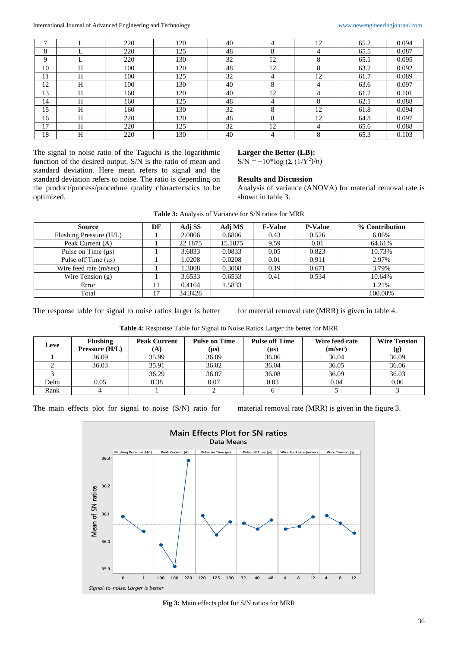| $\mathbf{r}$ |   | 220 | 120 | 40 |    | 12 | 65.2 | 0.094 |
|--------------|---|-----|-----|----|----|----|------|-------|
| 8            |   | 220 | 125 | 48 | 8  | 4  | 65.5 | 0.087 |
| Q            |   | 220 | 130 | 32 | 12 | o  | 65.1 | 0.095 |
| 10           | H | 100 | 120 | 48 | 12 | ◠  | 63.7 | 0.092 |
| 11           | H | 100 | 125 | 32 | 4  | 12 | 61.7 | 0.089 |
| 12           | H | 100 | 130 | 40 | 8  | 4  | 63.6 | 0.097 |
| 13           | H | 160 | 120 | 40 | 12 | 4  | 61.7 | 0.101 |
| 14           | H | 160 | 125 | 48 |    |    | 62.1 | 0.088 |
| 15           | H | 160 | 130 | 32 | 8  | 12 | 61.8 | 0.094 |
| 16           | H | 220 | 120 | 48 | 8  | 12 | 64.8 | 0.097 |
| 17           | H | 220 | 125 | 32 | 12 | 4  | 65.6 | 0.088 |
| 18           | H | 220 | 130 | 40 | 4  | ◠  | 65.3 | 0.103 |

The signal to noise ratio of the Taguchi is the logarithmic function of the desired output. S/N is the ratio of mean and standard deviation. Here mean refers to signal and the standard deviation refers to noise. The ratio is depending on the product/process/procedure quality characteristics to be optimized.

## **Larger the Better (LB):**

S/N =  $-10$ \*log (Σ (1/Y<sup>2</sup>)/n)

### **Results and Discussion**

Analysis of variance (ANOVA) for material removal rate is shown in table 3.

| <b>Table 3:</b> Analysis of Variance for S/N ratios for MRR |  |
|-------------------------------------------------------------|--|
|-------------------------------------------------------------|--|

| <b>Source</b>           | DF | Adj SS  | Adj MS  | <b>F-Value</b> | <b>P-Value</b> | % Contribution |
|-------------------------|----|---------|---------|----------------|----------------|----------------|
| Flushing Pressure (H/L) |    | 2.0806  | 0.6806  | 0.43           | 0.526          | 6.06%          |
| Peak Current (A)        |    | 22.1875 | 15.1875 | 9.59           | 0.01           | 64.61%         |
| Pulse on Time $(\mu s)$ |    | 3.6833  | 0.0833  | 0.05           | 0.823          | 10.73%         |
| Pulse off Time (us)     |    | 1.0208  | 0.0208  | 0.01           | 0.911          | 2.97%          |
| Wire feed rate (m/sec)  |    | 1.3008  | 0.3008  | 0.19           | 0.671          | 3.79%          |
| Wire Tension $(g)$      |    | 3.6533  | 0.6533  | 0.41           | 0.534          | 10.64%         |
| Error                   |    | 0.4164  | 1.5833  |                |                | 1.21%          |
| Total                   | 17 | 34.3428 |         |                |                | 100.00%        |

The response table for signal to noise ratios larger is better for material removal rate (MRR) is given in table 4.

|  |  | Table 4: Response Table for Signal to Noise Ratios Larger the better for MRR |  |
|--|--|------------------------------------------------------------------------------|--|
|--|--|------------------------------------------------------------------------------|--|

| Leve  | Flushing<br>Pressure (H/L) | <b>Peak Current</b> | <b>Pulse on Time</b><br>(µs) | <b>Pulse off Time</b><br>(µs) | Wire feed rate<br>(m/sec) | <b>Wire Tension</b><br>(g) |
|-------|----------------------------|---------------------|------------------------------|-------------------------------|---------------------------|----------------------------|
|       | 36.09                      | 35.99               | 36.09                        | 36.06                         | 36.04                     | 36.09                      |
|       | 36.03                      | 35.91               | 36.02                        | 36.04                         | 36.05                     | 36.06                      |
|       |                            | 36.29               | 36.07                        | 36.08                         | 36.09                     | 36.03                      |
| Delta | 0.05                       | 0.38                | 0.07                         | 0.03                          | 0.04                      | 0.06                       |
| Rank  |                            |                     |                              |                               |                           |                            |

The main effects plot for signal to noise (S/N) ratio for material removal rate (MRR) is given in the figure 3.



**Fig 3:** Main effects plot for S/N ratios for MRR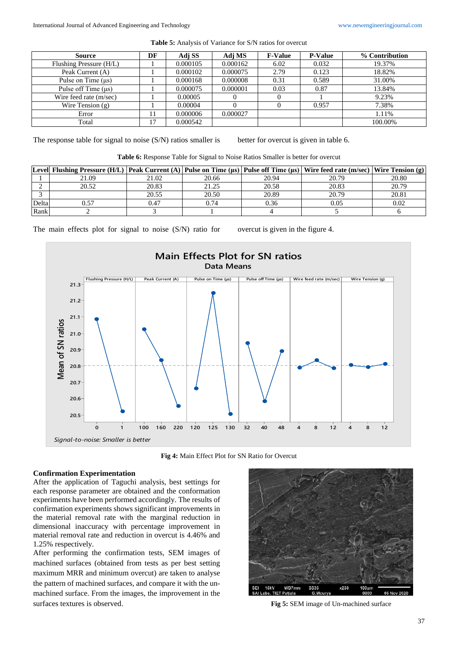| <b>Source</b>           | DF | Adj SS   | Adj MS   | <b>F-Value</b> | <b>P-Value</b> | % Contribution |
|-------------------------|----|----------|----------|----------------|----------------|----------------|
| Flushing Pressure (H/L) |    | 0.000105 | 0.000162 | 6.02           | 0.032          | 19.37%         |
| Peak Current (A)        |    | 0.000102 | 0.000075 | 2.79           | 0.123          | 18.82%         |
| Pulse on Time $(\mu s)$ |    | 0.000168 | 0.000008 | 0.31           | 0.589          | 31.00%         |
| Pulse off Time (us)     |    | 0.000075 | 0.000001 | 0.03           | 0.87           | 13.84%         |
| Wire feed rate (m/sec)  |    | 0.00005  |          |                |                | 9.23%          |
| Wire Tension $(g)$      |    | 0.00004  |          |                | 0.957          | 7.38%          |
| Error                   |    | 0.000006 | 0.000027 |                |                | 1.11%          |
| Total                   |    | 0.000542 |          |                |                | 100.00%        |

**Table 5:** Analysis of Variance for S/N ratios for overcut

The response table for signal to noise (S/N) ratios smaller is better for overcut is given in table 6.

| Table 6: Response Table for Signal to Noise Ratios Smaller is better for overcut |  |  |  |  |
|----------------------------------------------------------------------------------|--|--|--|--|
|                                                                                  |  |  |  |  |

|       | [Level] Flushing Pressure (H/L)   Peak Current (A)   Pulse on Time (µs)   Pulse off Time (µs)   Wire feed rate (m/sec)   Wire Tension (g) |       |       |       |       |       |
|-------|-------------------------------------------------------------------------------------------------------------------------------------------|-------|-------|-------|-------|-------|
|       | 21.09                                                                                                                                     | 21.02 | 20.66 | 20.94 | 20.79 | 20.80 |
|       | 20.52                                                                                                                                     | 20.83 | 21.25 | 20.58 | 20.83 | 20.79 |
|       |                                                                                                                                           | 20.55 | 20.50 | 20.89 | 20.79 | 20.81 |
| Delta | 1.57                                                                                                                                      | 0.47  | 0.74  | 0.36  | 0.05  | 0.02  |
| Rank  |                                                                                                                                           |       |       |       |       |       |

The main effects plot for signal to noise (S/N) ratio for overcut is given in the figure 4.



**Fig 4:** Main Effect Plot for SN Ratio for Overcut

### **Confirmation Experimentation**

After the application of Taguchi analysis, best settings for each response parameter are obtained and the conformation experiments have been performed accordingly. The results of confirmation experiments shows significant improvements in the material removal rate with the marginal reduction in dimensional inaccuracy with percentage improvement in material removal rate and reduction in overcut is 4.46% and 1.25% respectively.

After performing the confirmation tests, SEM images of machined surfaces (obtained from tests as per best setting maximum MRR and minimum overcut) are taken to analyse the pattern of machined surfaces, and compare it with the unmachined surface. From the images, the improvement in the surfaces textures is observed. **Fig 5:** SEM image of Un-machined surface